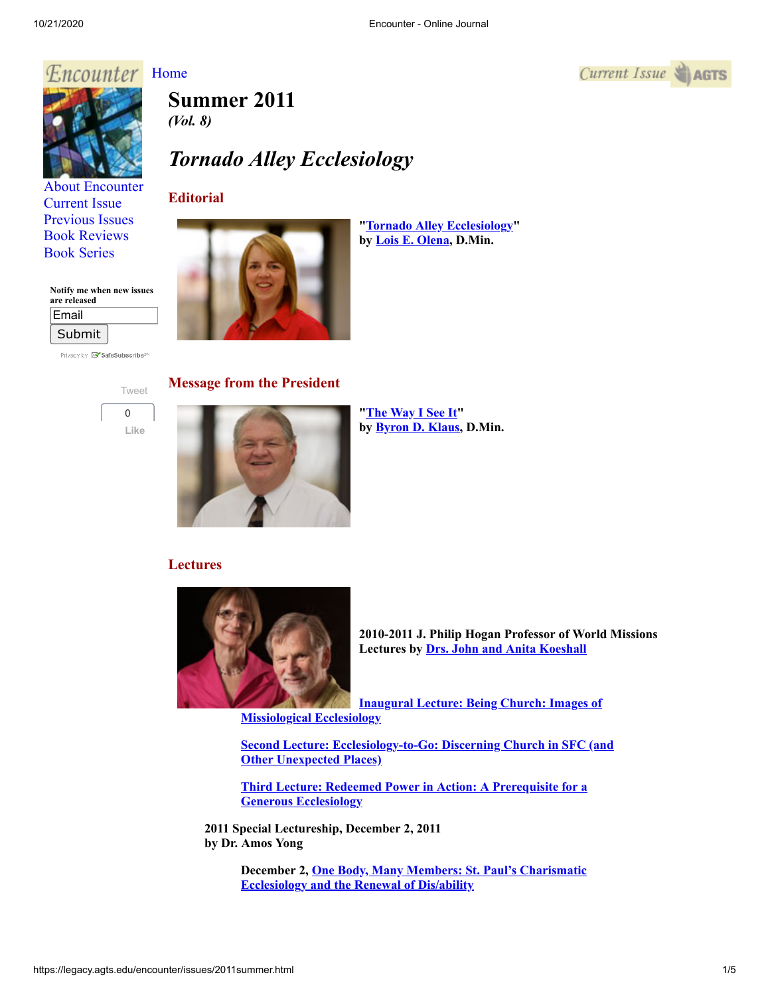*Current Issue*  $\triangleq$  **AGTS** 

# Encounter [Home](http://legacy.agts.edu/encounter/index.htm)



[About Encounter](http://legacy.agts.edu/encounter/about.html) [Current Issue](http://legacy.agts.edu/encounter/current.html) [Previous Issues](http://legacy.agts.edu/encounter/previous.html) [Book Reviews](http://legacy.agts.edu/encounter/book_reviews.html) [Book Series](http://legacy.agts.edu/encounter/resources.html)

#### **Notify me when new issues are released**

| Email  |  |
|--------|--|
| Submit |  |

Privacy by **EV** SafeSubscribe<sup>st</sup>

[Tweet](https://twitter.com/intent/tweet?original_referer=https%3A%2F%2Flegacy.agts.edu%2F&ref_src=twsrc%5Etfw&related=anywhereTheJavascriptAPI&text=Encounter%20-%20Online%20Journal&tw_p=tweetbutton&url=http%3A%2F%2Flegacy.agts.edu%2Fencounter%2Fbook_reviews%2F2012summer%2Freview_au.html&via=AGTSTweets)  $\Omega$ **Like**

**Summer 2011**  *(Vol. 8)*

# *Tornado Alley Ecclesiology*

# **Editorial**



**["Tornado Alley Ecclesiology](http://legacy.agts.edu/encounter/articles/2011summer/Olena.pdf)" by [Lois E. Olena,](http://legacy.agts.edu/faculty/olena.html) D.Min.**

#### **Message from the President**



**["The Way I See It"](http://legacy.agts.edu/encounter/articles/2011summer/Klaus.pdf) by [Byron D. Klaus,](http://legacy.agts.edu/faculty/klaus.html) D.Min.**

# **Lectures**



**2010-2011 J. Philip Hogan Professor of World Missions Lectures by [Drs. John and Anita Koeshall](http://legacy.agts.edu/faculty/koeshall.html)**

**[Inaugural Lecture: Being Church: Images of](http://legacy.agts.edu/encounter/articles/2011summer/Ecclesiology1.pdf) Missiological Ecclesiology**

**[Second Lecture: Ecclesiology-to-Go: Discerning Church in SFC \(and](http://legacy.agts.edu/encounter/articles/2011summer/Ecclesiology2.pdf) Other Unexpected Places)**

**[Third Lecture: Redeemed Power in Action: A Prerequisite for a](http://legacy.agts.edu/encounter/articles/2011summer/Ecclesiology3.pdf) Generous Ecclesiology**

**2011 Special Lectureship, December 2, 2011 by Dr. Amos Yong**

> **[December 2, One Body, Many Members: St. Paul's Charismatic](http://legacy.agts.edu/resources/audio_files/12_02_10ayong.mp3) Ecclesiology and the Renewal of Dis/ability**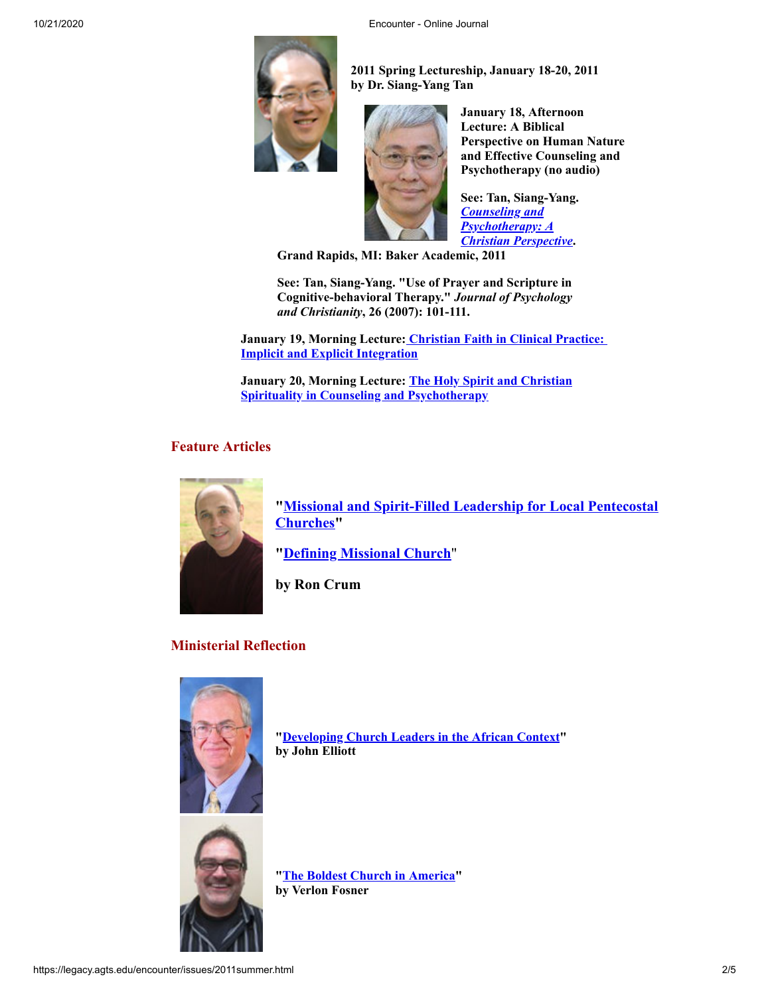

**2011 Spring Lectureship, January 18-20, 2011 by Dr. Siang-Yang Tan**



**January 18, Afternoon Lecture: A Biblical Perspective on Human Nature and Effective Counseling and Psychotherapy (no audio)**

**See: Tan, Siang-Yang.** *Counseling and Psychotherapy: A [Christian Perspective](http://www.amazon.com/Counseling-Psychotherapy-Perspective-Siang-Yang-Tan/dp/080102966X/ref=sr_1_1?ie=UTF8&s=books&qid=1305730338&sr=8-1])***.**

**Grand Rapids, MI: Baker Academic, 2011**

**See: Tan, Siang-Yang. "Use of Prayer and Scripture in Cognitive-behavioral Therapy."** *Journal of Psychology and Christianity***, 26 (2007): 101-111.**

**January 19, Morning Lecture: [Christian Faith in Clinical Practice:](http://legacy.agts.edu/resources/audio_files/2011_01_11tan.mp3)  Implicit and Explicit Integration**

**[January 20, Morning Lecture: The Holy Spirit and Christian](http://legacy.agts.edu/resources/audio_files/2011_01_20Tan.mp3) Spirituality in Counseling and Psychotherapy**

### **Feature Articles**



**["Missional and Spirit-Filled Leadership for Local Pentecostal](http://legacy.agts.edu/encounter/articles/2011summer/crum1.pdf) Churches"**

**"[Defining Missional Church](http://legacy.agts.edu/encounter/articles/2011summer/crum2.pdf)**"

**by Ron Crum**

# **Ministerial Reflection**



**"[Developing Church Leaders in the African Context](http://legacy.agts.edu/encounter/articles/2011summer/Elliott.pdf)" by John Elliott**



**"[The Boldest Church in America](http://legacy.agts.edu/encounter/articles/2011summer/Fosner.pdf)" by Verlon Fosner**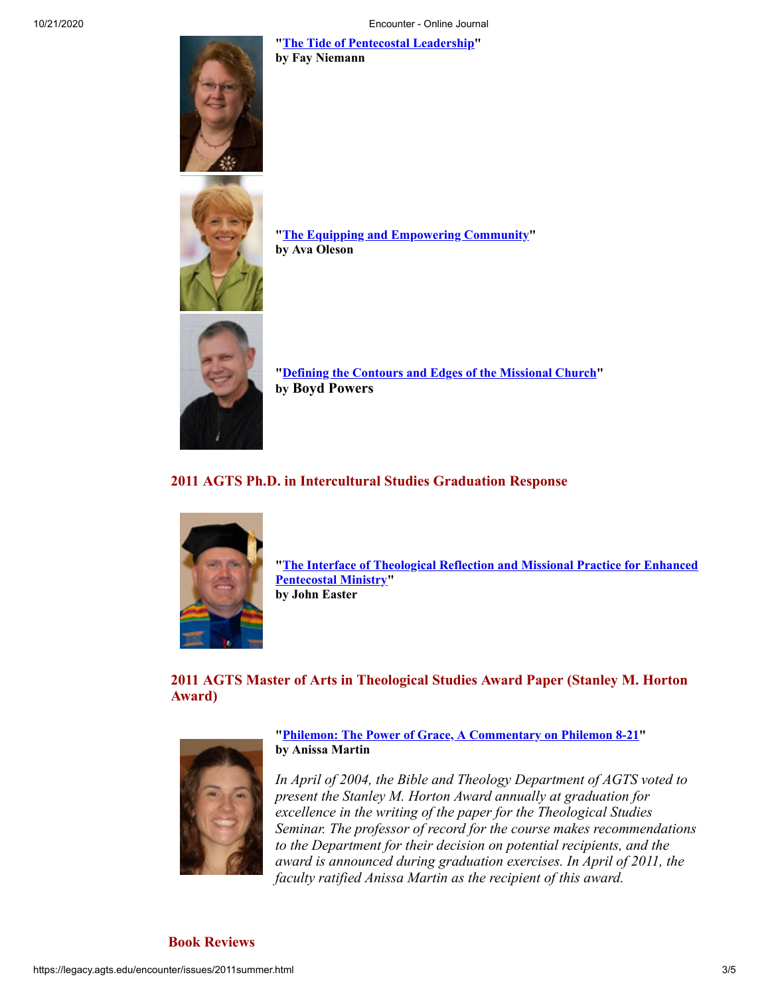**"[The Tide of Pentecostal Leadership](http://legacy.agts.edu/encounter/articles/2011summer/Niemann.pdf)" by Fay Niemann**





**"[The Equipping and Empowering Community"](http://legacy.agts.edu/encounter/articles/2011summer/Oleson.pdf) by Ava Oleson**



**"[Defining the Contours and Edges of the Missional Church"](http://legacy.agts.edu/encounter/articles/2011summer/Powers.pdf) by Boyd Powers**

# **2011 AGTS Ph.D. in Intercultural Studies Graduation Response**



**["The Interface of Theological Reflection and Missional Practice for Enhanced](http://legacy.agts.edu/encounter/articles/2011summer/easter.pdf) Pentecostal Ministry" by John Easter**

**2011 AGTS Master of Arts in Theological Studies Award Paper (Stanley M. Horton Award)**



**"[Philemon: The Power of Grace, A Commentary on Philemon 8-21](http://legacy.agts.edu/encounter/articles/2011summer/Martin.pdf)" by Anissa Martin**

*In April of 2004, the Bible and Theology Department of AGTS voted to present the Stanley M. Horton Award annually at graduation for excellence in the writing of the paper for the Theological Studies Seminar. The professor of record for the course makes recommendations to the Department for their decision on potential recipients, and the award is announced during graduation exercises. In April of 2011, the faculty ratified Anissa Martin as the recipient of this award.*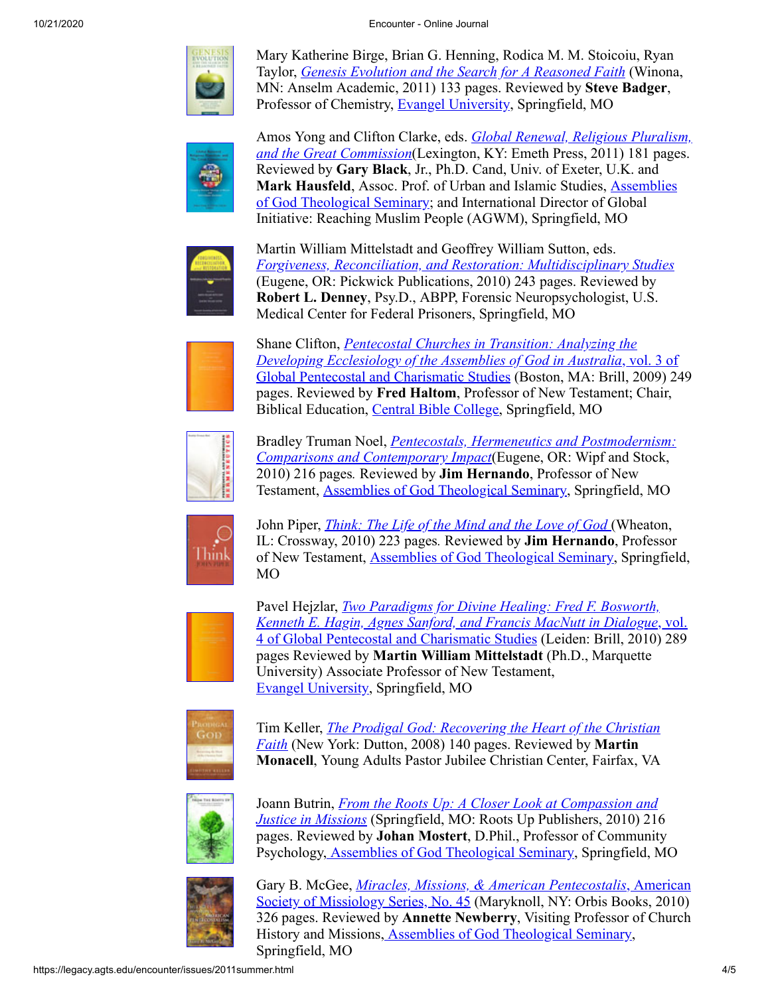

Mary Katherine Birge, Brian G. Henning, Rodica M. M. Stoicoiu, Ryan Taylor, *[Genesis Evolution and the Search for A Reasoned Faith](https://legacy.agts.edu/encounter/book_reviews/2011summer/review_badger.pdf)* (Winona, MN: Anselm Academic, 2011) 133 pages. Reviewed by **Steve Badger**, Professor of Chemistry, [Evangel University,](http://www.evangel.edu/) Springfield, MO



Amos Yong and Clifton Clarke, eds. *Global Renewal, Religious Pluralism, and the Great Commission*[\(Lexington, KY: Emeth Press, 2011\) 181 pages.](https://legacy.agts.edu/encounter/book_reviews/2011summer/review_hausfeld_black.pdf) Reviewed by **Gary Black**, Jr., Ph.D. Cand, Univ. of Exeter, U.K. and **Mark Hausfeld**, Assoc. Prof. of Urban and Islamic Studies, Assemblies [of God Theological Seminary; and International Director of Global](http://legacy.agts.edu/) Initiative: Reaching Muslim People (AGWM), Springfield, MO



Martin William Mittelstadt and Geoffrey William Sutton, eds. *[Forgiveness, Reconciliation, and Restoration: Multidisciplinary Studies](https://legacy.agts.edu/encounter/book_reviews/2011summer/review_denney.pdf)* (Eugene, OR: Pickwick Publications, 2010) 243 pages. Reviewed by **Robert L. Denney**, Psy.D., ABPP, Forensic Neuropsychologist, U.S. Medical Center for Federal Prisoners, Springfield, MO



Shane Clifton, *Pentecostal Churches in Transition: Analyzing the [Developing Ecclesiology of the Assemblies of God in Australia](https://legacy.agts.edu/encounter/book_reviews/2011summer/review_haltom.pdf)*, vol. 3 of [Global Pentecostal and Charismatic Studies \(Boston, MA: Brill, 2009\) 24](https://legacy.agts.edu/encounter/book_reviews/2011summer/review_haltom.pdf)9 pages. Reviewed by **Fred Haltom**, Professor of New Testament; Chair, Biblical Education, [Central Bible College,](http://netcom.cbcag.edu/NetCommunity//) Springfield, MO



Bradley Truman Noel, *[Pentecostals, Hermeneutics and Postmodernism:](https://legacy.agts.edu/encounter/book_reviews/2011summer/review_hernando_noel.pdf) Comparisons and Contemporary Impact*(Eugene, OR: Wipf and Stock, 2010) 216 pages*.* Reviewed by **Jim Hernando**, Professor of New Testament, [Assemblies of God Theological Seminary,](http://legacy.agts.edu/) Springfield, MO



John Piper, *[Think: The Life of the Mind and the Love of God](https://legacy.agts.edu/encounter/book_reviews/2011summer/review_hernando_piper.pdf)* (Wheaton, IL: Crossway, 2010) 223 pages*.* Reviewed by **Jim Hernando**, Professor of New Testament, [Assemblies of God Theological Seminary](http://legacy.agts.edu/), Springfield, MO



Pavel Hejzlar, *Two Paradigms for Divine Healing: Fred F. Bosworth, [Kenneth E. Hagin, Agnes Sanford, and Francis MacNutt in Dialogue](https://legacy.agts.edu/encounter/book_reviews/2011summer/Review_Mittlestadt.pdf)*, vol. [4 of Global Pentecostal and Charismatic Studies \(Leiden: Brill, 2010\) 289](https://legacy.agts.edu/encounter/book_reviews/2011summer/Review_Mittlestadt.pdf) pages Reviewed by **Martin William Mittelstadt** (Ph.D., Marquette University) Associate Professor of New Testament, [Evangel University](http://www.evangel.edu/), Springfield, MO

![](_page_3_Picture_16.jpeg)

Tim Keller, *[The Prodigal God: Recovering the Heart of the Christian](https://legacy.agts.edu/encounter/book_reviews/2011summer/review_Monacell.pdf) Faith* (New York: Dutton, 2008) 140 pages. Reviewed by **Martin Monacell**, Young Adults Pastor Jubilee Christian Center, Fairfax, VA

![](_page_3_Picture_18.jpeg)

Joann Butrin, *[From the Roots Up: A Closer Look at Compassion and](https://legacy.agts.edu/encounter/book_reviews/2011summer/review_Mostert.pdf) Justice in Missions* (Springfield, MO: Roots Up Publishers, 2010) 216 pages. Reviewed by **Johan Mostert**, D.Phil., Professor of Community Psychology, [Assemblies of God Theological Seminary,](http://legacy.agts.edu/) Springfield, MO

![](_page_3_Picture_20.jpeg)

Gary B. McGee, *[Miracles, Missions, & American Pentecostalis](https://legacy.agts.edu/encounter/book_reviews/2011summer/review_Newberry.pdf)*, American [Society of Missiology Series, No. 45 \(Maryknoll, NY: Orbis Books, 2010\)](https://legacy.agts.edu/encounter/book_reviews/2011summer/review_Newberry.pdf) 326 pages. Reviewed by **Annette Newberry**, Visiting Professor of Church History and Missions, [Assemblies of God Theological Seminary](http://legacy.agts.edu/), Springfield, MO